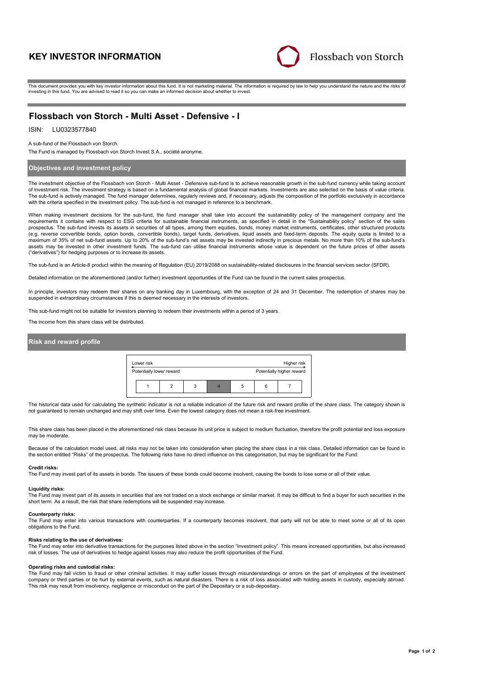# **KEY INVESTOR INFORMATION**



This document provides you with key investor information about this fund. It is not marketing material. The information is required by law to help you understand the nature and the risks of investing in this fund. You are advised to read it so you can make an informed decision about whether to invest.

# **Flossbach von Storch - Multi Asset - Defensive - I**

#### LU0323577840 ISIN:

A sub-fund of the Flossbach von Storch.

The Fund is managed by Flossbach von Storch Invest S.A., société anonyme.

## **Objectives and investment policy**

The investment objective of the Flossbach von Storch - Multi Asset - Defensive sub-fund is to achieve reasonable growth in the sub-fund currency while taking account of investment risk. The investment strategy is based on a fundamental analysis of global financial markets. Investments are also selected on the basis of value criteria. The sub-fund is actively managed. The fund manager determines, regularly reviews and, if necessary, adjusts the composition of the portfolio exclusively in accordance with the criteria specified in the investment policy. The sub-fund is not managed in reference to a benchmark.

When making investment decisions for the sub-fund, the fund manager shall take into account the sustainability policy of the management company and the requirements it contains with respect to ESG criteria for sustainable financial instruments, as specified in detail in the "Sustainability policy" section of the sales prospectus. The sub-fund invests its assets in securities of all types, among them equities, bonds, money market instruments, certificates, other structured products (e.g. reverse convertible bonds, option bonds, convertible bonds), target funds, derivatives, liquid assets and fixed-term deposits. The equity quota is limited to a maximum of 35% of net sub-fund assets. Up to 20% of the sub-fund's net assets may be invested indirectly in precious metals. No more than 10% of the sub-fund's assets may be invested in other investment funds. The sub-fund can utilise financial instruments whose value is dependent on the future prices of other assets ("derivatives") for hedging purposes or to increase its assets.

The sub-fund is an Article-8 product within the meaning of Regulation (EU) 2019/2088 on sustainability-related disclosures in the financial services sector (SFDR).

Detailed information on the aforementioned (and/or further) investment opportunities of the Fund can be found in the current sales prospectus.

In principle, investors may redeem their shares on any banking day in Luxembourg, with the exception of 24 and 31 December. The redemption of shares may be suspended in extraordinary circumstances if this is deemed necessary in the interests of investors.

This sub-fund might not be suitable for investors planning to redeem their investments within a period of 3 years.

The income from this share class will be distributed.

## **Risk and reward profile**

| Lower risk<br>Higher risk |                          |   |   |  |   |   |                           |  |
|---------------------------|--------------------------|---|---|--|---|---|---------------------------|--|
|                           | Potentially lower reward |   |   |  |   |   | Potentially higher reward |  |
|                           |                          | 2 | 3 |  | 5 | հ |                           |  |

The historical data used for calculating the synthetic indicator is not a reliable indication of the future risk and reward profile of the share class. The category shown is not guaranteed to remain unchanged and may shift over time. Even the lowest category does not mean a risk-free investment.

This share class has been placed in the aforementioned risk class because its unit price is subject to medium fluctuation, therefore the profit potential and loss exposure may be moderate.

Because of the calculation model used, all risks may not be taken into consideration when placing the share class in a risk class. Detailed information can be found in the section entitled "Risks" of the prospectus. The following risks have no direct influence on this categorisation, but may be significant for the Fund:

#### **Credit risks:**

The Fund may invest part of its assets in bonds. The issuers of these bonds could become insolvent, causing the bonds to lose some or all of their value.

### **Liquidity risks:**

The Fund may invest part of its assets in securities that are not traded on a stock exchange or similar market. It may be difficult to find a buyer for such securities in the short term. As a result, the risk that share redemptions will be suspended may increase.

### **Counterparty risks:**

The Fund may enter into various transactions with counterparties. If a counterparty becomes insolvent, that party will not be able to meet some or all of its open obligations to the Fund.

#### **Risks relating to the use of derivatives:**

The Fund may enter into derivative transactions for the purposes listed above in the section "Investment policy". This means increased opportunities, but also increased risk of losses. The use of derivatives to hedge against losses may also reduce the profit opportunities of the Fund.

### **Operating risks and custodial risks:**

The Fund may fall victim to fraud or other criminal activities. It may suffer losses through misunderstandings or errors on the part of employees of the investment company or third parties or be hurt by external events, such as natural disasters. There is a risk of loss associated with holding assets in custody, especially abroad. This risk may result from insolvency, negligence or misconduct on the part of the Depositary or a sub-depositary.